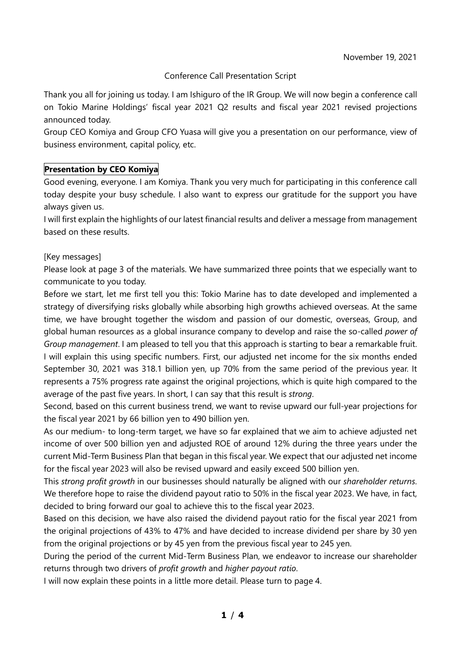## Conference Call Presentation Script

Thank you all for joining us today. I am Ishiguro of the IR Group. We will now begin a conference call on Tokio Marine Holdings' fiscal year 2021 Q2 results and fiscal year 2021 revised projections announced today.

Group CEO Komiya and Group CFO Yuasa will give you a presentation on our performance, view of business environment, capital policy, etc.

## **Presentation by CEO Komiya**

Good evening, everyone. I am Komiya. Thank you very much for participating in this conference call today despite your busy schedule. I also want to express our gratitude for the support you have always given us.

I will first explain the highlights of our latest financial results and deliver a message from management based on these results.

#### [Key messages]

Please look at page 3 of the materials. We have summarized three points that we especially want to communicate to you today.

Before we start, let me first tell you this: Tokio Marine has to date developed and implemented a strategy of diversifying risks globally while absorbing high growths achieved overseas. At the same time, we have brought together the wisdom and passion of our domestic, overseas, Group, and global human resources as a global insurance company to develop and raise the so-called *power of Group management*. I am pleased to tell you that this approach is starting to bear a remarkable fruit. I will explain this using specific numbers. First, our adjusted net income for the six months ended September 30, 2021 was 318.1 billion yen, up 70% from the same period of the previous year. It represents a 75% progress rate against the original projections, which is quite high compared to the average of the past five years. In short, I can say that this result is *strong*.

Second, based on this current business trend, we want to revise upward our full-year projections for the fiscal year 2021 by 66 billion yen to 490 billion yen.

As our medium- to long-term target, we have so far explained that we aim to achieve adjusted net income of over 500 billion yen and adjusted ROE of around 12% during the three years under the current Mid-Term Business Plan that began in this fiscal year. We expect that our adjusted net income for the fiscal year 2023 will also be revised upward and easily exceed 500 billion yen.

This *strong profit growth* in our businesses should naturally be aligned with our *shareholder returns*. We therefore hope to raise the dividend payout ratio to 50% in the fiscal year 2023. We have, in fact, decided to bring forward our goal to achieve this to the fiscal year 2023.

Based on this decision, we have also raised the dividend payout ratio for the fiscal year 2021 from the original projections of 43% to 47% and have decided to increase dividend per share by 30 yen from the original projections or by 45 yen from the previous fiscal year to 245 yen.

During the period of the current Mid-Term Business Plan, we endeavor to increase our shareholder returns through two drivers of *profit growth* and *higher payout ratio*.

I will now explain these points in a little more detail. Please turn to page 4.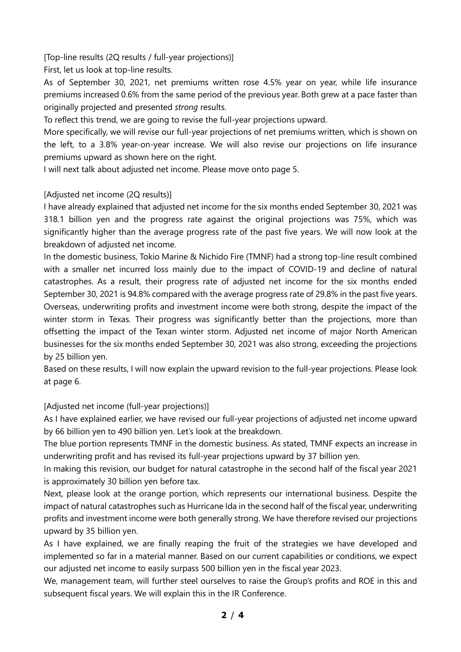[Top-line results (2Q results / full-year projections)]

First, let us look at top-line results.

As of September 30, 2021, net premiums written rose 4.5% year on year, while life insurance premiums increased 0.6% from the same period of the previous year. Both grew at a pace faster than originally projected and presented *strong* results.

To reflect this trend, we are going to revise the full-year projections upward.

More specifically, we will revise our full-year projections of net premiums written, which is shown on the left, to a 3.8% year-on-year increase. We will also revise our projections on life insurance premiums upward as shown here on the right.

I will next talk about adjusted net income. Please move onto page 5.

## [Adjusted net income (2Q results)]

I have already explained that adjusted net income for the six months ended September 30, 2021 was 318.1 billion yen and the progress rate against the original projections was 75%, which was significantly higher than the average progress rate of the past five years. We will now look at the breakdown of adjusted net income.

In the domestic business, Tokio Marine & Nichido Fire (TMNF) had a strong top-line result combined with a smaller net incurred loss mainly due to the impact of COVID-19 and decline of natural catastrophes. As a result, their progress rate of adjusted net income for the six months ended September 30, 2021 is 94.8% compared with the average progress rate of 29.8% in the past five years. Overseas, underwriting profits and investment income were both strong, despite the impact of the winter storm in Texas. Their progress was significantly better than the projections, more than offsetting the impact of the Texan winter storm. Adjusted net income of major North American businesses for the six months ended September 30, 2021 was also strong, exceeding the projections by 25 billion yen.

Based on these results, I will now explain the upward revision to the full-year projections. Please look at page 6.

[Adjusted net income (full-year projections)]

As I have explained earlier, we have revised our full-year projections of adjusted net income upward by 66 billion yen to 490 billion yen. Let's look at the breakdown.

The blue portion represents TMNF in the domestic business. As stated, TMNF expects an increase in underwriting profit and has revised its full-year projections upward by 37 billion yen.

In making this revision, our budget for natural catastrophe in the second half of the fiscal year 2021 is approximately 30 billion yen before tax.

Next, please look at the orange portion, which represents our international business. Despite the impact of natural catastrophes such as Hurricane Ida in the second half of the fiscal year, underwriting profits and investment income were both generally strong. We have therefore revised our projections upward by 35 billion yen.

As I have explained, we are finally reaping the fruit of the strategies we have developed and implemented so far in a material manner. Based on our current capabilities or conditions, we expect our adjusted net income to easily surpass 500 billion yen in the fiscal year 2023.

We, management team, will further steel ourselves to raise the Group's profits and ROE in this and subsequent fiscal years. We will explain this in the IR Conference.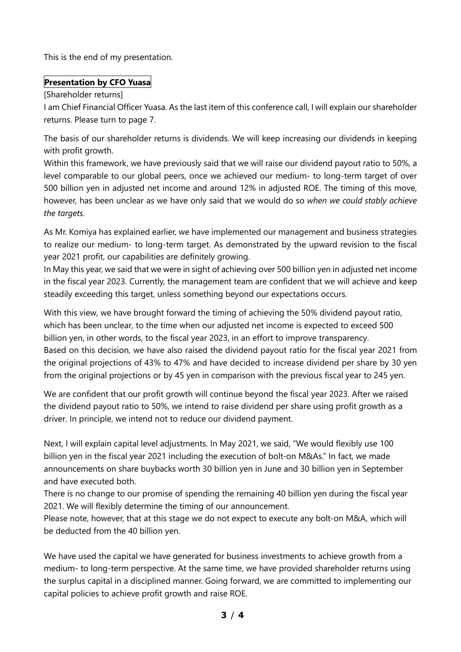This is the end of my presentation.

# **Presentation by CFO Yuasa**

[Shareholder returns]

I am Chief Financial Officer Yuasa. As the last item of this conference call, I will explain our shareholder returns. Please turn to page 7.

The basis of our shareholder returns is dividends. We will keep increasing our dividends in keeping with profit growth.

Within this framework, we have previously said that we will raise our dividend payout ratio to 50%, a level comparable to our global peers, once we achieved our medium- to long-term target of over 500 billion yen in adjusted net income and around 12% in adjusted ROE. The timing of this move, however, has been unclear as we have only said that we would do so *when we could stably achieve the targets*.

As Mr. Komiya has explained earlier, we have implemented our management and business strategies to realize our medium- to long-term target. As demonstrated by the upward revision to the fiscal year 2021 profit, our capabilities are definitely growing.

In May this year, we said that we were in sight of achieving over 500 billion yen in adjusted net income in the fiscal year 2023. Currently, the management team are confident that we will achieve and keep steadily exceeding this target, unless something beyond our expectations occurs.

With this view, we have brought forward the timing of achieving the 50% dividend payout ratio, which has been unclear, to the time when our adjusted net income is expected to exceed 500 billion yen, in other words, to the fiscal year 2023, in an effort to improve transparency. Based on this decision, we have also raised the dividend payout ratio for the fiscal year 2021 from the original projections of 43% to 47% and have decided to increase dividend per share by 30 yen from the original projections or by 45 yen in comparison with the previous fiscal year to 245 yen.

We are confident that our profit growth will continue beyond the fiscal year 2023. After we raised the dividend payout ratio to 50%, we intend to raise dividend per share using profit growth as a driver. In principle, we intend not to reduce our dividend payment.

Next, I will explain capital level adjustments. In May 2021, we said, "We would flexibly use 100 billion yen in the fiscal year 2021 including the execution of bolt-on M&As." In fact, we made announcements on share buybacks worth 30 billion yen in June and 30 billion yen in September and have executed both.

There is no change to our promise of spending the remaining 40 billion yen during the fiscal year 2021. We will flexibly determine the timing of our announcement.

Please note, however, that at this stage we do not expect to execute any bolt-on M&A, which will be deducted from the 40 billion yen.

We have used the capital we have generated for business investments to achieve growth from a medium- to long-term perspective. At the same time, we have provided shareholder returns using the surplus capital in a disciplined manner. Going forward, we are committed to implementing our capital policies to achieve profit growth and raise ROE.

**3** / **4**